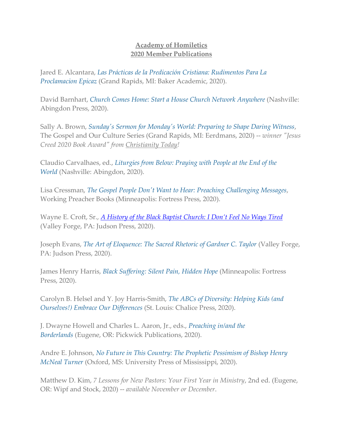## **Academy of Homiletics 2020 Member Publications**

Jared E. Alcantara, *[Las Prácticas de la Predicación Cristiana: Rudimentos Para La](http://bakerpublishinggroup.com/books/las-practicas-de-la-predicacion-cristiana/384521)  [Proclamacion](http://bakerpublishinggroup.com/books/las-practicas-de-la-predicacion-cristiana/384521) Epicaz* (Grand Rapids, MI: Baker Academic, 2020).

David Barnhart, *[Church Comes Home: Start a House Church Network Anywhere](https://www.amazon.com/Church-Comes-Home-Network-Anywhere/dp/1791007333/ref=sr_1_1?dchild=1&keywords=church+comes+home&qid=1593531601&sr=8-1)* (Nashville: Abingdon Press, 2020).

Sally A. Brown, *[Sunday's Sermon for Monday's World: Preparing to Shape Daring Witness](https://www.amazon.com/Sundays-Sermon-Mondays-World-Preaching/dp/0802871127/ref=sr_1_2?dchild=1&keywords=Sunday%27s+Sermon+for+Monday%27s+World&qid=1586275856&sr=8-2&fbclid=IwAR3Aj3Xe3E9IXCvnAIMnQenMVf7ubQNP2tvRYGcyUyPZ2ABWfNyjWE11rCs)*, The Gospel and Our Culture Series (Grand Rapids, MI: Eerdmans, 2020) -- *winner "Jesus Creed 2020 Book Award" from Christianity Today!*

Claudio Carvalhaes, ed., *[Liturgies from Below: Praying with People at the End of the](https://www.abingdonpress.com/product/9781791007355)  [World](https://www.abingdonpress.com/product/9781791007355)* (Nashville: Abingdon, 2020).

Lisa Cressman, *[The Gospel People Don't Want to Hear: Preaching Challenging Messages](https://www.workingpreacher.org/books/#cressman)*, Working Preacher Books (Minneapolis: Fortress Press, 2020).

Wayne E. Croft, Sr., *[A History of the Black Baptist Church:](https://www.amazon.com/History-Black-Baptist-Church-Tired/dp/0817018174/ref=sr_1_1?dchild=1&keywords=wayne+croft&qid=1617193683&s=books&sr=1-1) I Don't Feel No Ways Tired* (Valley Forge, PA: Judson Press, 2020).

Joseph Evans, *[The Art of Eloquence: The Sacred Rhetoric of Gardner C. Taylor](https://www.amazon.com/Art-Eloquence-Sacred-Rhetoric-Gardner/dp/081701814X/ref=sr_1_1?crid=NVH26IBSULIB&dchild=1&keywords=the+art+of+eloquence&qid=1601647839&s=books&sprefix=the+art+of+eloq%2Cstripbooks%2C511&sr=1-1)* (Valley Forge, PA: Judson Press, 2020).

James Henry Harris, *[Black Suffering: Silent Pain, Hidden Hope](https://www.amazon.com/Black-Suffering-Silent-Pain-Hidden/dp/1506464386/ref=sr_1_1?crid=1CK3FYAIDD5MO&dchild=1&keywords=black+suffering&qid=1593298100&s=books&sprefix=black+suffering%2Cstripbooks%2C170&sr=1-1)* (Minneapolis: Fortress Press, 2020).

Carolyn B. Helsel and Y. Joy Harris-Smith, *[The ABCs of Diversity: Helping Kids \(and](https://www.amazon.com/ABCs-Diversity-Helping-Ourselves-Differences/dp/0827200935/ref=sr_1_3?crid=34QCTONUTK5IT&dchild=1&keywords=abcs+of+diversity+helping+kids+embrace+our+differences&qid=1601646591&s=books&sprefix=abcs+of+di%2Caps%2C156&sr=1-3)  [Ourselves!\) Embrace Our Differences](https://www.amazon.com/ABCs-Diversity-Helping-Ourselves-Differences/dp/0827200935/ref=sr_1_3?crid=34QCTONUTK5IT&dchild=1&keywords=abcs+of+diversity+helping+kids+embrace+our+differences&qid=1601646591&s=books&sprefix=abcs+of+di%2Caps%2C156&sr=1-3)* (St. Louis: Chalice Press, 2020).

J. Dwayne Howell and Charles L. Aaron, Jr., eds., *[Preaching in/and the](https://wipfandstock.com/search-results/?keyword=preaching+in%2Fand+the+borderlands)  [Borderlands](https://wipfandstock.com/search-results/?keyword=preaching+in%2Fand+the+borderlands)* (Eugene, OR: Pickwick Publications, 2020).

Andre E. Johnson, *[No Future in This Country: The Prophetic Pessimism of Bishop Henry](https://www.upress.state.ms.us/Books/N/No-Future-in-This-Country2)  [McNeal Turner](https://www.upress.state.ms.us/Books/N/No-Future-in-This-Country2)* (Oxford, MS: University Press of Mississippi, 2020).

Matthew D. Kim, *7 Lessons for New Pastors: Your First Year in Ministry*, 2nd ed. (Eugene, OR: Wipf and Stock, 2020) -- *available November or December*.